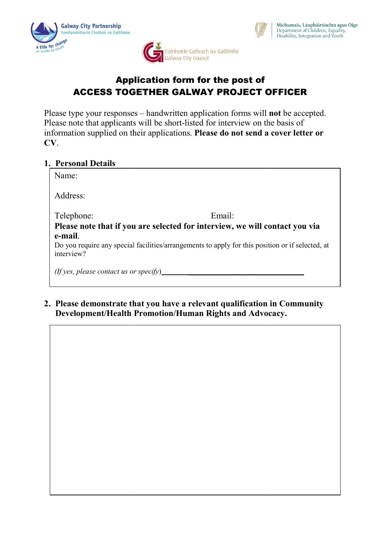





# Application form for the post of ACCESS TOGETHER GALWAY PROJECT OFFICER

Please type your responses – handwritten application forms will **not** be accepted. Please note that applicants will be short-listed for interview on the basis of information supplied on their applications. Please do not send a cover letter or CV.

### 1. Personal Details

## 2. Please demonstrate that you have a relevant qualification in Community Please demonstrate that you have a relevant qualification in Community Please demonstrate that you have a relevant qualification in Community<br>Development/Health Promotion/Human Rights and Advocacy.

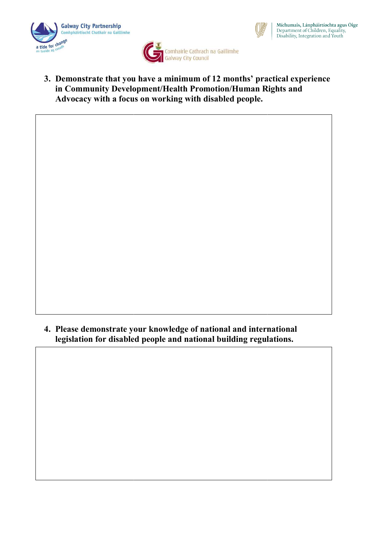





3. Demonstrate that you have a minimum of 12 months' practical experience in Community Development/Health Promotion/Human Rights and Development/Health Promotion/Human Rights and Advocacy with a focus on working with disabled people. nmunity Development/Health Promotion/Human Rights and<br>ecy with a focus on working with disabled people.<br>According the demonstrate your knowledge of national and international<br>demonstrate your knowledge of national and inte

 $4.4.$  Why do you want to be a Women's Development Worker with the Galways Development Worker with the Galways Development Worker with the Galways Development Worker with the Galways Development Worker with the Galways De

. Why do you want to be a Women's Development Worker with the Galways Development  $\mathcal{A}$ 

4. Please demonstrate your knowledge of national and international legislation for disabled people and national building regulations.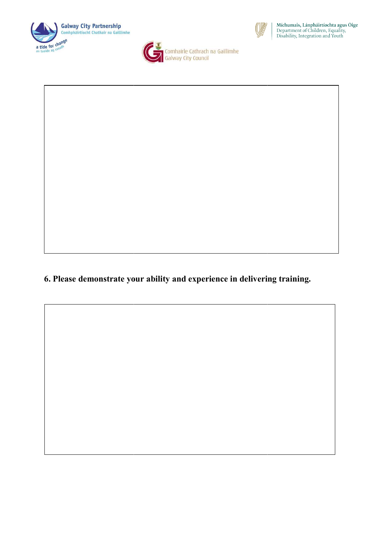





## 6. Please demonstrate your ability and experience in delivering training.

7. State your experience and ability in relation to file management

7. State your experience and ability in relation to file management,

demonstrating your level of computer literation of computer literations of computer literacy in the computation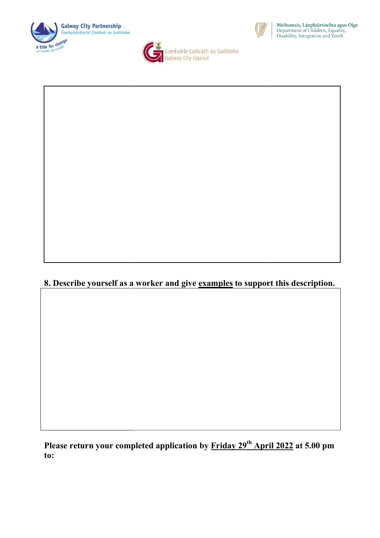



**San Comhairle Cathrach na Gaillimhe**<br>Galway City Council



# 8. Describe yourself as a worker and give <u>examples</u> to support this description.

Please return your completed application by Friday 29<sup>th</sup> April 2022 at 5.00 pm to: